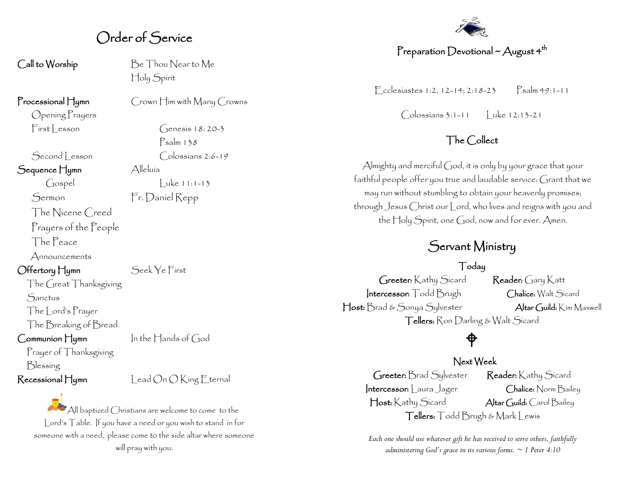## Order of Service

Opening Prayers

Sequence Hymn Alleluía

The Nicene Creed

Prayers of the People

The Peace

Announcements

Offertory Hymn Seek Ye First

The Great Thanksgiving

**Sanctus** 

The Lord's Prayer

The Breaking of Bread

Prayer of Thanksgiving Blessing

Call to Worship Be Thou Near to Me Holy Spirit

Processional Hymn Crown Him with Many Crowns

 $First| esson$  Genesis 18:20-3 Psalm 138 Second Lesson Colossians 2:6-19  $\int \text{cospel}$   $| \text{uke 11:1-13}$ 

Sermon Fr. Daniel Repp

 $Common$   $\frac{1}{4}$ umn In the  $\frac{1}{4}$  ands of God

 $\mathsf{Recessional}\_\textsf{Umn}$  Lead  $\bigcirc$ n  $\bigcirc$  King Eternal

All baptized Christians are welcome to come to the Lord's Table. If you have a need or you wish to stand in for someone with a need, please come to the side altar where someone will pray with you.



#### Preparation Devotional ~ August  $4^{\text{th}}$

 $\Gamma$  cclesiastes 1:2, 12-14; 2:18-23 Psalm 49:1-11

Colossians 3:1-11 Luke 12:13-21

#### The Collect

Almighty and merciful God, it is only by your grace that your faithful people offer you true and laudable service: Grant that we may run without stumbling to obtain your heavenly promises; through Jesus Christ our Lord, who lives and reigns with you and the Holy Spirit, one God, now and for ever. Amen.

#### Servant Ministry

#### Today

Greeter: Kathy Sicard Reader: Gary Katt Intercessor: Todd Brugh Chalice: Walt Sicard Host: Brad & Sonya Sylvester Altar Guild: Kim Maxwell Tellers: Ron Darling & Walt Sicard

## ⊕

#### Next Week

Greeter: Brad Sylvester Reader: Kathy Sicard Intercessor: Laura Jager Chalice: Norm Bailey Host: Kathy Sicard Altar Guild: Carol Bailey Tellers: Todd Brugh & Mark Lewis

*Each one should use whatever gift he has received to serve others, faithfully administering God's grace in its various forms. ~ 1 Peter 4:10*